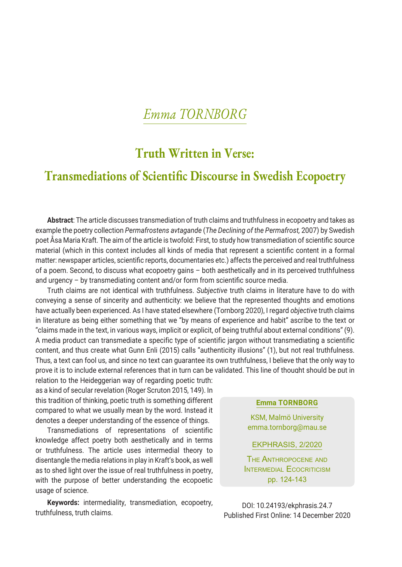# *Emma TORNBORG*

## **Truth Written in Verse:**

## **Transmediations of Scientific Discourse in Swedish Ecopoetry**

**Abstract**: The article discusses transmediation of truth claims and truthfulness in ecopoetry and takes as example the poetry collection *Permafrostens avtagande* (*The Declining of the Permafrost,* 2007) by Swedish poet Åsa Maria Kraft. The aim of the article is twofold: First, to study how transmediation of scientific source material (which in this context includes all kinds of media that represent a scientific content in a formal matter: newspaper articles, scientific reports, documentaries etc.) affects the perceived and real truthfulness of a poem. Second, to discuss what ecopoetry gains – both aesthetically and in its perceived truthfulness and urgency – by transmediating content and/or form from scientific source media.

Truth claims are not identical with truthfulness. *Subjective* truth claims in literature have to do with conveying a sense of sincerity and authenticity: we believe that the represented thoughts and emotions have actually been experienced. As I have stated elsewhere (Tornborg 2020), I regard *objective* truth claims in literature as being either something that we "by means of experience and habit" ascribe to the text or "claims made in the text, in various ways, implicit or explicit, of being truthful about external conditions" (9). A media product can transmediate a specific type of scientific jargon without transmediating a scientific content, and thus create what Gunn Enli (2015) calls "authenticity illusions" (1), but not real truthfulness. Thus, a text can fool us, and since no text can guarantee its own truthfulness, I believe that the only way to prove it is to include external references that in turn can be validated. This line of thought should be put in

relation to the Heideggerian way of regarding poetic truth: as a kind of secular revelation (Roger Scruton 2015, 149). In this tradition of thinking, poetic truth is something different compared to what we usually mean by the word. Instead it denotes a deeper understanding of the essence of things.

Transmediations of representations of scientific knowledge affect poetry both aesthetically and in terms or truthfulness. The article uses intermedial theory to disentangle the media relations in play in Kraft's book, as well as to shed light over the issue of real truthfulness in poetry, with the purpose of better understanding the ecopoetic usage of science.

**Keywords:** intermediality, transmediation, ecopoetry, truthfulness, truth claims.

**Emma TORNBORG**

KSM, Malmö University emma.tornborg@mau.se

EKPHRASIS, 2/2020

The Anthropocene and INTERMEDIAL ECOCRITICISM pp. 124-143

DOI: 10.24193/ekphrasis.24.7 Published First Online: 14 December 2020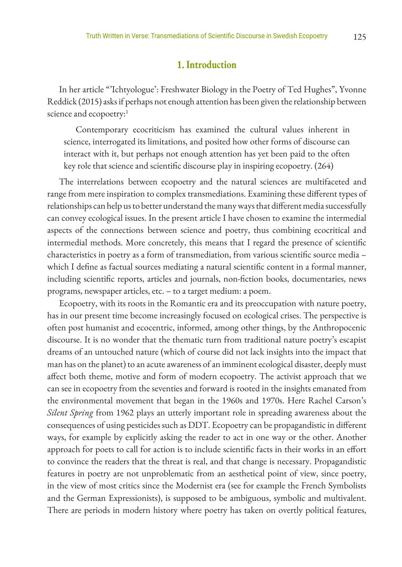#### **1. Introduction**

In her article "'Ichtyologue': Freshwater Biology in the Poetry of Ted Hughes", Yvonne Reddick (2015) asks if perhaps not enough attention has been given the relationship between science and ecopoetry:<sup>1</sup>

Contemporary ecocriticism has examined the cultural values inherent in science, interrogated its limitations, and posited how other forms of discourse can interact with it, but perhaps not enough attention has yet been paid to the often key role that science and scientific discourse play in inspiring ecopoetry. (264)

The interrelations between ecopoetry and the natural sciences are multifaceted and range from mere inspiration to complex transmediations. Examining these different types of relationships can help us to better understand the many ways that different media successfully can convey ecological issues. In the present article I have chosen to examine the intermedial aspects of the connections between science and poetry, thus combining ecocritical and intermedial methods. More concretely, this means that I regard the presence of scientific characteristics in poetry as a form of transmediation, from various scientific source media – which I define as factual sources mediating a natural scientific content in a formal manner, including scientific reports, articles and journals, non-fiction books, documentaries, news programs, newspaper articles, etc. – to a target medium: a poem.

Ecopoetry, with its roots in the Romantic era and its preoccupation with nature poetry, has in our present time become increasingly focused on ecological crises. The perspective is often post humanist and ecocentric, informed, among other things, by the Anthropocenic discourse. It is no wonder that the thematic turn from traditional nature poetry's escapist dreams of an untouched nature (which of course did not lack insights into the impact that man has on the planet) to an acute awareness of an imminent ecological disaster, deeply must affect both theme, motive and form of modern ecopoetry. The activist approach that we can see in ecopoetry from the seventies and forward is rooted in the insights emanated from the environmental movement that began in the 1960s and 1970s. Here Rachel Carson's *Silent Spring* from 1962 plays an utterly important role in spreading awareness about the consequences of using pesticides such as DDT. Ecopoetry can be propagandistic in different ways, for example by explicitly asking the reader to act in one way or the other. Another approach for poets to call for action is to include scientific facts in their works in an effort to convince the readers that the threat is real, and that change is necessary. Propagandistic features in poetry are not unproblematic from an aesthetical point of view, since poetry, in the view of most critics since the Modernist era (see for example the French Symbolists and the German Expressionists), is supposed to be ambiguous, symbolic and multivalent. There are periods in modern history where poetry has taken on overtly political features,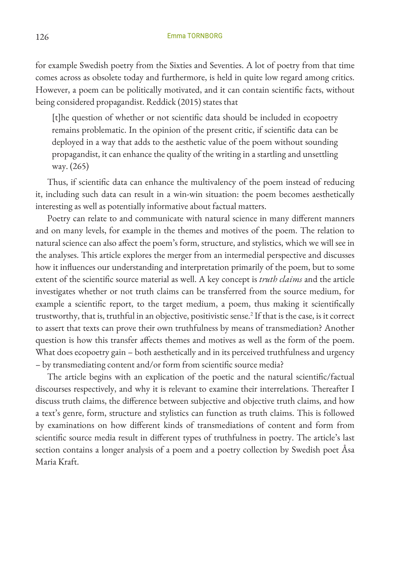for example Swedish poetry from the Sixties and Seventies. A lot of poetry from that time comes across as obsolete today and furthermore, is held in quite low regard among critics. However, a poem can be politically motivated, and it can contain scientific facts, without being considered propagandist. Reddick (2015) states that

[t]he question of whether or not scientific data should be included in ecopoetry remains problematic. In the opinion of the present critic, if scientific data can be deployed in a way that adds to the aesthetic value of the poem without sounding propagandist, it can enhance the quality of the writing in a startling and unsettling way. (265)

Thus, if scientific data can enhance the multivalency of the poem instead of reducing it, including such data can result in a win-win situation: the poem becomes aesthetically interesting as well as potentially informative about factual matters.

Poetry can relate to and communicate with natural science in many different manners and on many levels, for example in the themes and motives of the poem. The relation to natural science can also affect the poem's form, structure, and stylistics, which we will see in the analyses. This article explores the merger from an intermedial perspective and discusses how it influences our understanding and interpretation primarily of the poem, but to some extent of the scientific source material as well. A key concept is *truth claims* and the article investigates whether or not truth claims can be transferred from the source medium, for example a scientific report, to the target medium, a poem, thus making it scientifically trustworthy, that is, truthful in an objective, positivistic sense.<sup>2</sup> If that is the case, is it correct to assert that texts can prove their own truthfulness by means of transmediation? Another question is how this transfer affects themes and motives as well as the form of the poem. What does ecopoetry gain – both aesthetically and in its perceived truthfulness and urgency – by transmediating content and/or form from scientific source media?

The article begins with an explication of the poetic and the natural scientific/factual discourses respectively, and why it is relevant to examine their interrelations. Thereafter I discuss truth claims, the difference between subjective and objective truth claims, and how a text's genre, form, structure and stylistics can function as truth claims. This is followed by examinations on how different kinds of transmediations of content and form from scientific source media result in different types of truthfulness in poetry. The article's last section contains a longer analysis of a poem and a poetry collection by Swedish poet Åsa Maria Kraft.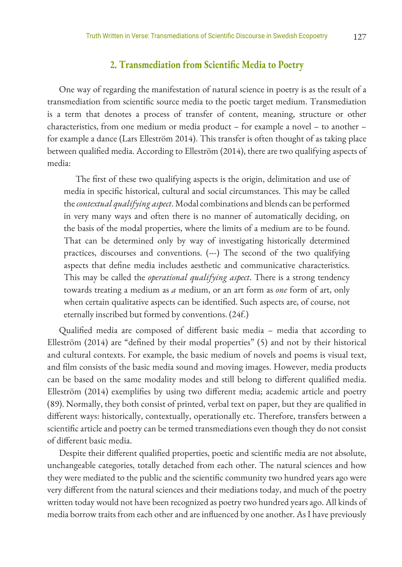#### **2. Transmediation from Scientific Media to Poetry**

One way of regarding the manifestation of natural science in poetry is as the result of a transmediation from scientific source media to the poetic target medium. Transmediation is a term that denotes a process of transfer of content, meaning, structure or other characteristics, from one medium or media product – for example a novel – to another – for example a dance (Lars Elleström 2014). This transfer is often thought of as taking place between qualified media. According to Elleström (2014), there are two qualifying aspects of media:

The first of these two qualifying aspects is the origin, delimitation and use of media in specific historical, cultural and social circumstances. This may be called the *contextual qualifying aspect*. Modal combinations and blends can be performed in very many ways and often there is no manner of automatically deciding, on the basis of the modal properties, where the limits of a medium are to be found. That can be determined only by way of investigating historically determined practices, discourses and conventions. (---) The second of the two qualifying aspects that define media includes aesthetic and communicative characteristics. This may be called the *operational qualifying aspect*. There is a strong tendency towards treating a medium as *a* medium, or an art form as *one* form of art, only when certain qualitative aspects can be identified. Such aspects are, of course, not eternally inscribed but formed by conventions. (24f.)

Qualified media are composed of different basic media – media that according to Elleström (2014) are "defined by their modal properties" (5) and not by their historical and cultural contexts. For example, the basic medium of novels and poems is visual text, and film consists of the basic media sound and moving images. However, media products can be based on the same modality modes and still belong to different qualified media. Elleström (2014) exemplifies by using two different media; academic article and poetry (89). Normally, they both consist of printed, verbal text on paper, but they are qualified in different ways: historically, contextually, operationally etc. Therefore, transfers between a scientific article and poetry can be termed transmediations even though they do not consist of different basic media.

Despite their different qualified properties, poetic and scientific media are not absolute, unchangeable categories, totally detached from each other. The natural sciences and how they were mediated to the public and the scientific community two hundred years ago were very different from the natural sciences and their mediations today, and much of the poetry written today would not have been recognized as poetry two hundred years ago. All kinds of media borrow traits from each other and are influenced by one another. As I have previously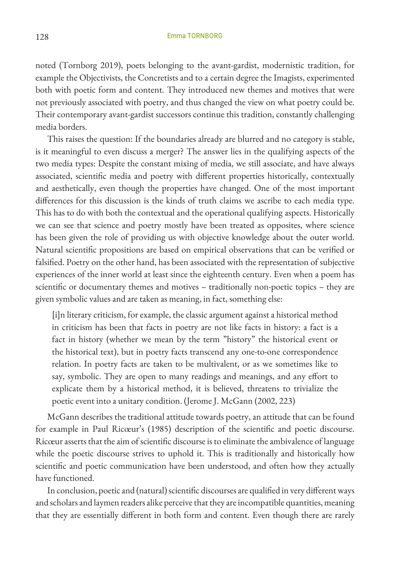noted (Tornborg 2019), poets belonging to the avant-gardist, modernistic tradition, for example the Objectivists, the Concretists and to a certain degree the Imagists, experimented both with poetic form and content. They introduced new themes and motives that were not previously associated with poetry, and thus changed the view on what poetry could be. Their contemporary avant-gardist successors continue this tradition, constantly challenging media borders.

This raises the question: If the boundaries already are blurred and no category is stable, is it meaningful to even discuss a merger? The answer lies in the qualifying aspects of the two media types: Despite the constant mixing of media, we still associate, and have always associated, scientific media and poetry with different properties historically, contextually and aesthetically, even though the properties have changed. One of the most important differences for this discussion is the kinds of truth claims we ascribe to each media type. This has to do with both the contextual and the operational qualifying aspects. Historically we can see that science and poetry mostly have been treated as opposites, where science has been given the role of providing us with objective knowledge about the outer world. Natural scientific propositions are based on empirical observations that can be verified or falsified. Poetry on the other hand, has been associated with the representation of subjective experiences of the inner world at least since the eighteenth century. Even when a poem has scientific or documentary themes and motives – traditionally non-poetic topics – they are given symbolic values and are taken as meaning, in fact, something else:

[i]n literary criticism, for example, the classic argument against a historical method in criticism has been that facts in poetry are not like facts in history: a fact is a fact in history (whether we mean by the term "history" the historical event or the historical text), but in poetry facts transcend any one-to-one correspondence relation. In poetry facts are taken to be multivalent, or as we sometimes like to say, symbolic. They are open to many readings and meanings, and any effort to explicate them by a historical method, it is believed, threatens to trivialize the poetic event into a unitary condition. (Jerome J. McGann (2002, 223)

McGann describes the traditional attitude towards poetry, an attitude that can be found for example in Paul Ricœur's (1985) description of the scientific and poetic discourse. Ricœur asserts that the aim of scientific discourse is to eliminate the ambivalence of language while the poetic discourse strives to uphold it. This is traditionally and historically how scientific and poetic communication have been understood, and often how they actually have functioned.

In conclusion, poetic and (natural) scientific discourses are qualified in very different ways and scholars and laymen readers alike perceive that they are incompatible quantities, meaning that they are essentially different in both form and content. Even though there are rarely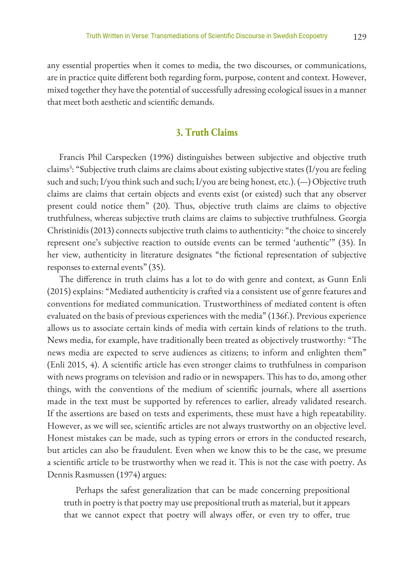any essential properties when it comes to media, the two discourses, or communications, are in practice quite different both regarding form, purpose, content and context. However, mixed together they have the potential of successfully adressing ecological issues in a manner that meet both aesthetic and scientific demands.

## **3. Truth Claims**

Francis Phil Carspecken (1996) distinguishes between subjective and objective truth claims3 : "Subjective truth claims are claims about existing subjective states (I/you are feeling such and such; I/you think such and such; I/you are being honest, etc.). (---) Objective truth claims are claims that certain objects and events exist (or existed) such that any observer present could notice them" (20). Thus, objective truth claims are claims to objective truthfulness, whereas subjective truth claims are claims to subjective truthfulness. Georgia Christinidis (2013) connects subjective truth claims to authenticity: "the choice to sincerely represent one's subjective reaction to outside events can be termed 'authentic'" (35). In her view, authenticity in literature designates "the fictional representation of subjective responses to external events" (35).

The difference in truth claims has a lot to do with genre and context, as Gunn Enli (2015) explains: "Mediated authenticity is crafted via a consistent use of genre features and conventions for mediated communication. Trustworthiness of mediated content is often evaluated on the basis of previous experiences with the media" (136f.). Previous experience allows us to associate certain kinds of media with certain kinds of relations to the truth. News media, for example, have traditionally been treated as objectively trustworthy: "The news media are expected to serve audiences as citizens; to inform and enlighten them" (Enli 2015, 4). A scientific article has even stronger claims to truthfulness in comparison with news programs on television and radio or in newspapers. This has to do, among other things, with the conventions of the medium of scientific journals, where all assertions made in the text must be supported by references to earlier, already validated research. If the assertions are based on tests and experiments, these must have a high repeatability. However, as we will see, scientific articles are not always trustworthy on an objective level. Honest mistakes can be made, such as typing errors or errors in the conducted research, but articles can also be fraudulent. Even when we know this to be the case, we presume a scientific article to be trustworthy when we read it. This is not the case with poetry. As Dennis Rasmussen (1974) argues:

Perhaps the safest generalization that can be made concerning prepositional truth in poetry is that poetry may use prepositional truth as material, but it appears that we cannot expect that poetry will always offer, or even try to offer, true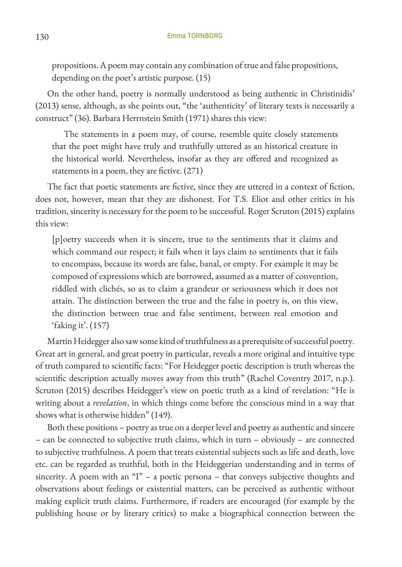propositions. A poem may contain any combination of true and false propositions, depending on the poet's artistic purpose. (15)

On the other hand, poetry is normally understood as being authentic in Christinidis' (2013) sense, although, as she points out, "the 'authenticity' of literary texts is necessarily a construct" (36). Barbara Herrnstein Smith (1971) shares this view:

The statements in a poem may, of course, resemble quite closely statements that the poet might have truly and truthfully uttered as an historical creature in the historical world. Nevertheless, insofar as they are offered and recognized as statements in a poem, they are fictive. (271)

The fact that poetic statements are fictive, since they are uttered in a context of fiction, does not, however, mean that they are dishonest. For T.S. Eliot and other critics in his tradition, sincerity is necessary for the poem to be successful. Roger Scruton (2015) explains this view:

[p]oetry succeeds when it is sincere, true to the sentiments that it claims and which command our respect; it fails when it lays claim to sentiments that it fails to encompass, because its words are false, banal, or empty. For example it may be composed of expressions which are borrowed, assumed as a matter of convention, riddled with clichés, so as to claim a grandeur or seriousness which it does not attain. The distinction between the true and the false in poetry is, on this view, the distinction between true and false sentiment, between real emotion and 'faking it'. (157)

Martin Heidegger also saw some kind of truthfulness as a prerequisite of successful poetry. Great art in general, and great poetry in particular, reveals a more original and intuitive type of truth compared to scientific facts: "For Heidegger poetic description is truth whereas the scientific description actually moves away from this truth" (Rachel Coventry 2017, n.p.). Scruton (2015) describes Heidegger's view on poetic truth as a kind of revelation: "He is writing about a *revelation*, in which things come before the conscious mind in a way that shows what is otherwise hidden" (149).

Both these positions – poetry as true on a deeper level and poetry as authentic and sincere – can be connected to subjective truth claims, which in turn – obviously – are connected to subjective truthfulness. A poem that treats existential subjects such as life and death, love etc. can be regarded as truthful, both in the Heideggerian understanding and in terms of sincerity. A poem with an "I" – a poetic persona – that conveys subjective thoughts and observations about feelings or existential matters, can be perceived as authentic without making explicit truth claims. Furthermore, if readers are encouraged (for example by the publishing house or by literary critics) to make a biographical connection between the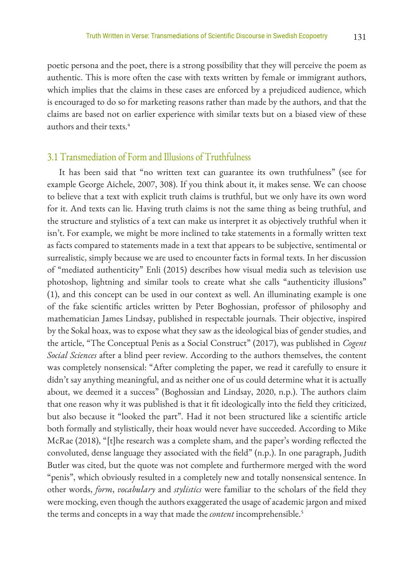poetic persona and the poet, there is a strong possibility that they will perceive the poem as authentic. This is more often the case with texts written by female or immigrant authors, which implies that the claims in these cases are enforced by a prejudiced audience, which is encouraged to do so for marketing reasons rather than made by the authors, and that the claims are based not on earlier experience with similar texts but on a biased view of these authors and their texts.4

### 3.1 Transmediation of Form and Illusions of Truthfulness

It has been said that "no written text can guarantee its own truthfulness" (see for example George Aichele, 2007, 308). If you think about it, it makes sense. We can choose to believe that a text with explicit truth claims is truthful, but we only have its own word for it. And texts can lie. Having truth claims is not the same thing as being truthful, and the structure and stylistics of a text can make us interpret it as objectively truthful when it isn't. For example, we might be more inclined to take statements in a formally written text as facts compared to statements made in a text that appears to be subjective, sentimental or surrealistic, simply because we are used to encounter facts in formal texts. In her discussion of "mediated authenticity" Enli (2015) describes how visual media such as television use photoshop, lightning and similar tools to create what she calls "authenticity illusions" (1), and this concept can be used in our context as well. An illuminating example is one of the fake scientific articles written by Peter Boghossian, professor of philosophy and mathematician James Lindsay, published in respectable journals. Their objective, inspired by the Sokal hoax, was to expose what they saw as the ideological bias of gender studies, and the article, "The Conceptual Penis as a Social Construct" (2017), was published in *Cogent Social Sciences* after a blind peer review. According to the authors themselves, the content was completely nonsensical: "After completing the paper, we read it carefully to ensure it didn't say anything meaningful, and as neither one of us could determine what it is actually about, we deemed it a success" (Boghossian and Lindsay, 2020, n.p.). The authors claim that one reason why it was published is that it fit ideologically into the field they criticized, but also because it "looked the part". Had it not been structured like a scientific article both formally and stylistically, their hoax would never have succeeded. According to Mike McRae (2018), "[t]he research was a complete sham, and the paper's wording reflected the convoluted, dense language they associated with the field" (n.p.). In one paragraph, Judith Butler was cited, but the quote was not complete and furthermore merged with the word "penis", which obviously resulted in a completely new and totally nonsensical sentence. In other words, *form*, *vocabulary* and *stylistics* were familiar to the scholars of the field they were mocking, even though the authors exaggerated the usage of academic jargon and mixed the terms and concepts in a way that made the *content* incomprehensible.5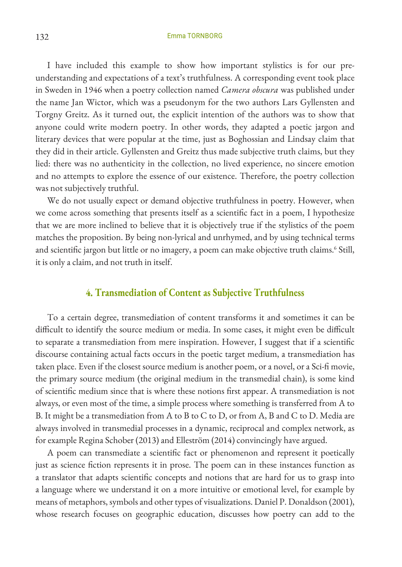#### 132 Emma TORNBORG

I have included this example to show how important stylistics is for our preunderstanding and expectations of a text's truthfulness. A corresponding event took place in Sweden in 1946 when a poetry collection named *Camera obscura* was published under the name Jan Wictor, which was a pseudonym for the two authors Lars Gyllensten and Torgny Greitz. As it turned out, the explicit intention of the authors was to show that anyone could write modern poetry. In other words, they adapted a poetic jargon and literary devices that were popular at the time, just as Boghossian and Lindsay claim that they did in their article. Gyllensten and Greitz thus made subjective truth claims, but they lied: there was no authenticity in the collection, no lived experience, no sincere emotion and no attempts to explore the essence of our existence. Therefore, the poetry collection was not subjectively truthful.

We do not usually expect or demand objective truthfulness in poetry. However, when we come across something that presents itself as a scientific fact in a poem, I hypothesize that we are more inclined to believe that it is objectively true if the stylistics of the poem matches the proposition. By being non-lyrical and unrhymed, and by using technical terms and scientific jargon but little or no imagery, a poem can make objective truth claims.<sup>6</sup> Still, it is only a claim, and not truth in itself.

## **4. Transmediation of Content as Subjective Truthfulness**

To a certain degree, transmediation of content transforms it and sometimes it can be difficult to identify the source medium or media. In some cases, it might even be difficult to separate a transmediation from mere inspiration. However, I suggest that if a scientific discourse containing actual facts occurs in the poetic target medium, a transmediation has taken place. Even if the closest source medium is another poem, or a novel, or a Sci-fi movie, the primary source medium (the original medium in the transmedial chain), is some kind of scientific medium since that is where these notions first appear. A transmediation is not always, or even most of the time, a simple process where something is transferred from A to B. It might be a transmediation from A to B to C to D, or from A, B and C to D. Media are always involved in transmedial processes in a dynamic, reciprocal and complex network, as for example Regina Schober (2013) and Elleström (2014) convincingly have argued.

A poem can transmediate a scientific fact or phenomenon and represent it poetically just as science fiction represents it in prose. The poem can in these instances function as a translator that adapts scientific concepts and notions that are hard for us to grasp into a language where we understand it on a more intuitive or emotional level, for example by means of metaphors, symbols and other types of visualizations. Daniel P. Donaldson (2001), whose research focuses on geographic education, discusses how poetry can add to the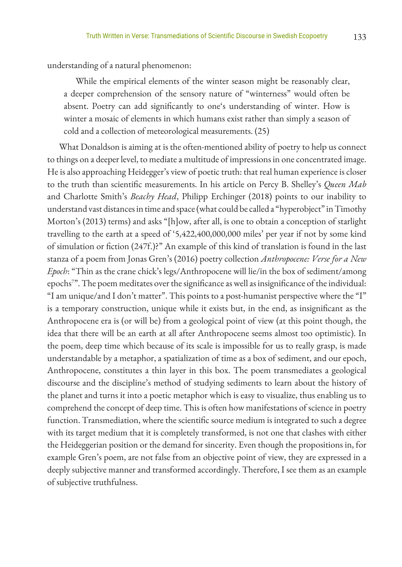understanding of a natural phenomenon:

While the empirical elements of the winter season might be reasonably clear, a deeper comprehension of the sensory nature of "winterness" would often be absent. Poetry can add significantly to one's understanding of winter. How is winter a mosaic of elements in which humans exist rather than simply a season of cold and a collection of meteorological measurements. (25)

What Donaldson is aiming at is the often-mentioned ability of poetry to help us connect to things on a deeper level, to mediate a multitude of impressions in one concentrated image. He is also approaching Heidegger's view of poetic truth: that real human experience is closer to the truth than scientific measurements. In his article on Percy B. Shelley's *Queen Mab* and Charlotte Smith's *Beachy Head*, Philipp Erchinger (2018) points to our inability to understand vast distances in time and space (what could be called a "hyperobject" in Timothy Morton's (2013) terms) and asks "[h]ow, after all, is one to obtain a conception of starlight travelling to the earth at a speed of '5,422,400,000,000 miles' per year if not by some kind of simulation or fiction (247f.)?" An example of this kind of translation is found in the last stanza of a poem from Jonas Gren's (2016) poetry collection *Anthropocene: Verse for a New Epoch*: "Thin as the crane chick's legs/Anthropocene will lie/in the box of sediment/among epochs7 ". The poem meditates over the significance as well as insignificance of the individual: "I am unique/and I don't matter". This points to a post-humanist perspective where the "I" is a temporary construction, unique while it exists but, in the end, as insignificant as the Anthropocene era is (or will be) from a geological point of view (at this point though, the idea that there will be an earth at all after Anthropocene seems almost too optimistic). In the poem, deep time which because of its scale is impossible for us to really grasp, is made understandable by a metaphor, a spatialization of time as a box of sediment, and our epoch, Anthropocene, constitutes a thin layer in this box. The poem transmediates a geological discourse and the discipline's method of studying sediments to learn about the history of the planet and turns it into a poetic metaphor which is easy to visualize, thus enabling us to comprehend the concept of deep time. This is often how manifestations of science in poetry function. Transmediation, where the scientific source medium is integrated to such a degree with its target medium that it is completely transformed, is not one that clashes with either the Heideggerian position or the demand for sincerity. Even though the propositions in, for example Gren's poem, are not false from an objective point of view, they are expressed in a deeply subjective manner and transformed accordingly. Therefore, I see them as an example of subjective truthfulness.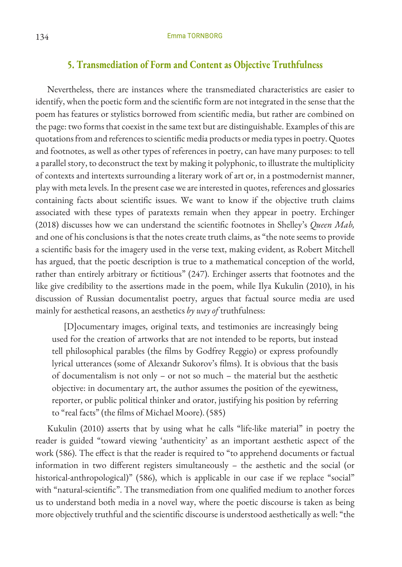#### **5. Transmediation of Form and Content as Objective Truthfulness**

Nevertheless, there are instances where the transmediated characteristics are easier to identify, when the poetic form and the scientific form are not integrated in the sense that the poem has features or stylistics borrowed from scientific media, but rather are combined on the page: two forms that coexist in the same text but are distinguishable. Examples of this are quotations from and references to scientific media products or media types in poetry. Quotes and footnotes, as well as other types of references in poetry, can have many purposes: to tell a parallel story, to deconstruct the text by making it polyphonic, to illustrate the multiplicity of contexts and intertexts surrounding a literary work of art or, in a postmodernist manner, play with meta levels. In the present case we are interested in quotes, references and glossaries containing facts about scientific issues. We want to know if the objective truth claims associated with these types of paratexts remain when they appear in poetry. Erchinger (2018) discusses how we can understand the scientific footnotes in Shelley's *Queen Mab,*  and one of his conclusions is that the notes create truth claims, as "the note seems to provide a scientific basis for the imagery used in the verse text, making evident, as Robert Mitchell has argued, that the poetic description is true to a mathematical conception of the world, rather than entirely arbitrary or fictitious" (247). Erchinger asserts that footnotes and the like give credibility to the assertions made in the poem, while Ilya Kukulin (2010), in his discussion of Russian documentalist poetry, argues that factual source media are used mainly for aesthetical reasons, an aesthetics *by way of* truthfulness:

[D]ocumentary images, original texts, and testimonies are increasingly being used for the creation of artworks that are not intended to be reports, but instead tell philosophical parables (the films by Godfrey Reggio) or express profoundly lyrical utterances (some of Alexandr Sukorov's films). It is obvious that the basis of documentalism is not only – or not so much – the material but the aesthetic objective: in documentary art, the author assumes the position of the eyewitness, reporter, or public political thinker and orator, justifying his position by referring to "real facts" (the films of Michael Moore). (585)

Kukulin (2010) asserts that by using what he calls "life-like material" in poetry the reader is guided "toward viewing 'authenticity' as an important aesthetic aspect of the work (586). The effect is that the reader is required to "to apprehend documents or factual information in two different registers simultaneously – the aesthetic and the social (or historical-anthropological)" (586), which is applicable in our case if we replace "social" with "natural-scientific". The transmediation from one qualified medium to another forces us to understand both media in a novel way, where the poetic discourse is taken as being more objectively truthful and the scientific discourse is understood aesthetically as well: "the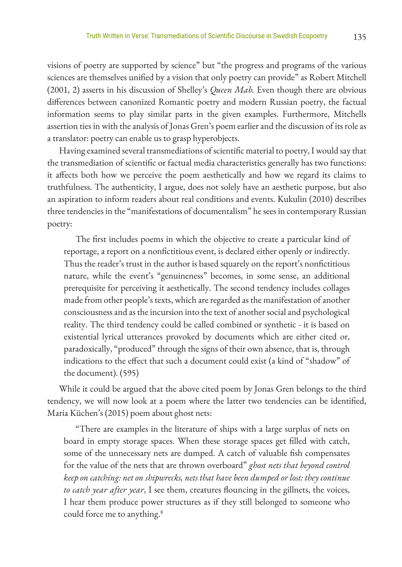visions of poetry are supported by science" but "the progress and programs of the various sciences are themselves unified by a vision that only poetry can provide" as Robert Mitchell (2001, 2) asserts in his discussion of Shelley's *Queen Mab.* Even though there are obvious differences between canonized Romantic poetry and modern Russian poetry, the factual information seems to play similar parts in the given examples. Furthermore, Mitchells assertion ties in with the analysis of Jonas Gren's poem earlier and the discussion of its role as a translator: poetry can enable us to grasp hyperobjects.

Having examined several transmediations of scientific material to poetry, I would say that the transmediation of scientific or factual media characteristics generally has two functions: it affects both how we perceive the poem aesthetically and how we regard its claims to truthfulness. The authenticity, I argue, does not solely have an aesthetic purpose, but also an aspiration to inform readers about real conditions and events. Kukulin (2010) describes three tendencies in the "manifestations of documentalism" he sees in contemporary Russian poetry:

The first includes poems in which the objective to create a particular kind of reportage, a report on a nonfictitious event, is declared either openly or indirectly. Thus the reader's trust in the author is based squarely on the report's nonfictitious nature, while the event's "genuineness" becomes, in some sense, an additional prerequisite for perceiving it aesthetically. The second tendency includes collages made from other people's texts, which are regarded as the manifestation of another consciousness and as the incursion into the text of another social and psychological reality. The third tendency could be called combined or synthetic - it is based on existential lyrical utterances provoked by documents which are either cited or, paradoxically, "produced" through the signs of their own absence, that is, through indications to the effect that such a document could exist (a kind of "shadow" of the document). (595)

While it could be argued that the above cited poem by Jonas Gren belongs to the third tendency, we will now look at a poem where the latter two tendencies can be identified, Maria Küchen's (2015) poem about ghost nets:

"There are examples in the literature of ships with a large surplus of nets on board in empty storage spaces. When these storage spaces get filled with catch, some of the unnecessary nets are dumped. A catch of valuable fish compensates for the value of the nets that are thrown overboard" *ghost nets that beyond control keep on catching: net on shipwrecks, nets that have been dumped or lost: they continue to catch year after year*, I see them, creatures flouncing in the gillnets, the voices, I hear them produce power structures as if they still belonged to someone who could force me to anything.<sup>8</sup>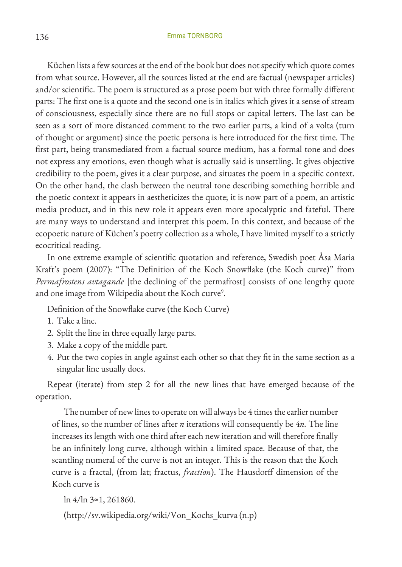#### 136 Emma TORNBORG

Küchen lists a few sources at the end of the book but does not specify which quote comes from what source. However, all the sources listed at the end are factual (newspaper articles) and/or scientific. The poem is structured as a prose poem but with three formally different parts: The first one is a quote and the second one is in italics which gives it a sense of stream of consciousness, especially since there are no full stops or capital letters. The last can be seen as a sort of more distanced comment to the two earlier parts, a kind of a volta (turn of thought or argument) since the poetic persona is here introduced for the first time. The first part, being transmediated from a factual source medium, has a formal tone and does not express any emotions, even though what is actually said is unsettling. It gives objective credibility to the poem, gives it a clear purpose, and situates the poem in a specific context. On the other hand, the clash between the neutral tone describing something horrible and the poetic context it appears in aestheticizes the quote; it is now part of a poem, an artistic media product, and in this new role it appears even more apocalyptic and fateful. There are many ways to understand and interpret this poem. In this context, and because of the ecopoetic nature of Küchen's poetry collection as a whole, I have limited myself to a strictly ecocritical reading.

In one extreme example of scientific quotation and reference, Swedish poet Åsa Maria Kraft's poem (2007): "The Definition of the Koch Snowflake (the Koch curve)" from *Permafrostens avtagande* [the declining of the permafrost] consists of one lengthy quote and one image from Wikipedia about the Koch curve<sup>9</sup>.

Definition of the Snowflake curve (the Koch Curve)

- 1. Take a line.
- 2. Split the line in three equally large parts.
- 3. Make a copy of the middle part.
- 4. Put the two copies in angle against each other so that they fit in the same section as a singular line usually does.

Repeat (iterate) from step 2 for all the new lines that have emerged because of the operation.

The number of new lines to operate on will always be 4 times the earlier number of lines, so the number of lines after *n* iterations will consequently be 4*n.* The line increases its length with one third after each new iteration and will therefore finally be an infinitely long curve, although within a limited space. Because of that, the scantling numeral of the curve is not an integer. This is the reason that the Koch curve is a fractal, (from lat; fractus, *fraction*). The Hausdorff dimension of the Koch curve is

ln 4/ln 3≈1, 261860.

(http://sv.wikipedia.org/wiki/Von\_Kochs\_kurva (n.p)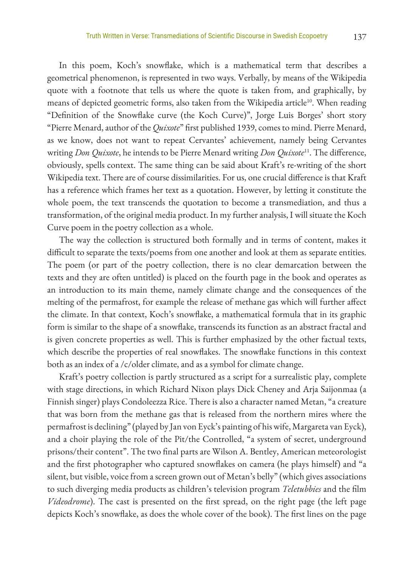In this poem, Koch's snowflake, which is a mathematical term that describes a geometrical phenomenon, is represented in two ways. Verbally, by means of the Wikipedia quote with a footnote that tells us where the quote is taken from, and graphically, by means of depicted geometric forms, also taken from the Wikipedia article<sup>10</sup>. When reading "Definition of the Snowflake curve (the Koch Curve)", Jorge Luis Borges' short story "Pierre Menard, author of the *Quixote*" first published 1939, comes to mind. Pierre Menard, as we know, does not want to repeat Cervantes' achievement, namely being Cervantes writing *Don Quixote*, he intends to be Pierre Menard writing *Don Quixote*<sup>11</sup>. The difference, obviously, spells context. The same thing can be said about Kraft's re-writing of the short Wikipedia text. There are of course dissimilarities. For us, one crucial difference is that Kraft has a reference which frames her text as a quotation. However, by letting it constitute the whole poem, the text transcends the quotation to become a transmediation, and thus a transformation, of the original media product. In my further analysis, I will situate the Koch Curve poem in the poetry collection as a whole.

The way the collection is structured both formally and in terms of content, makes it difficult to separate the texts/poems from one another and look at them as separate entities. The poem (or part of the poetry collection, there is no clear demarcation between the texts and they are often untitled) is placed on the fourth page in the book and operates as an introduction to its main theme, namely climate change and the consequences of the melting of the permafrost, for example the release of methane gas which will further affect the climate. In that context, Koch's snowflake, a mathematical formula that in its graphic form is similar to the shape of a snowflake, transcends its function as an abstract fractal and is given concrete properties as well. This is further emphasized by the other factual texts, which describe the properties of real snowflakes. The snowflake functions in this context both as an index of a /c/older climate, and as a symbol for climate change.

Kraft's poetry collection is partly structured as a script for a surrealistic play, complete with stage directions, in which Richard Nixon plays Dick Cheney and Arja Saijonmaa (a Finnish singer) plays Condoleezza Rice. There is also a character named Metan, "a creature that was born from the methane gas that is released from the northern mires where the permafrost is declining" (played by Jan von Eyck's painting of his wife, Margareta van Eyck), and a choir playing the role of the Pit/the Controlled, "a system of secret, underground prisons/their content". The two final parts are Wilson A. Bentley, American meteorologist and the first photographer who captured snowflakes on camera (he plays himself) and "a silent, but visible, voice from a screen grown out of Metan's belly" (which gives associations to such diverging media products as children's television program *Teletubbies* and the film *Videodrome*). The cast is presented on the first spread, on the right page (the left page depicts Koch's snowflake, as does the whole cover of the book). The first lines on the page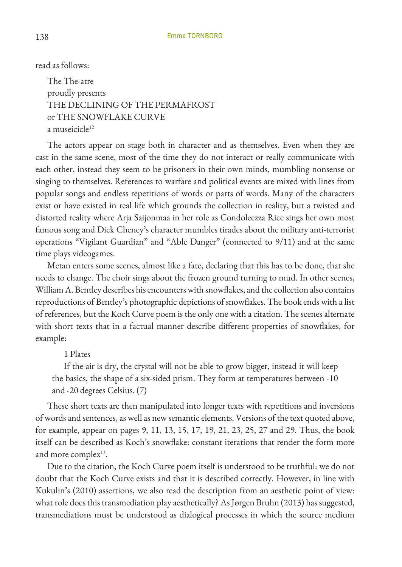read as follows:

The The-atre proudly presents THE DECLINING OF THE PERMAFROST or THE SNOWFLAKE CURVE a museicicle<sup>12</sup>

The actors appear on stage both in character and as themselves. Even when they are cast in the same scene, most of the time they do not interact or really communicate with each other, instead they seem to be prisoners in their own minds, mumbling nonsense or singing to themselves. References to warfare and political events are mixed with lines from popular songs and endless repetitions of words or parts of words. Many of the characters exist or have existed in real life which grounds the collection in reality, but a twisted and distorted reality where Arja Saijonmaa in her role as Condoleezza Rice sings her own most famous song and Dick Cheney's character mumbles tirades about the military anti-terrorist operations "Vigilant Guardian" and "Able Danger" (connected to 9/11) and at the same time plays videogames.

Metan enters some scenes, almost like a fate, declaring that this has to be done, that she needs to change. The choir sings about the frozen ground turning to mud. In other scenes, William A. Bentley describes his encounters with snowflakes, and the collection also contains reproductions of Bentley's photographic depictions of snowflakes. The book ends with a list of references, but the Koch Curve poem is the only one with a citation. The scenes alternate with short texts that in a factual manner describe different properties of snowflakes, for example:

#### 1 Plates

If the air is dry, the crystal will not be able to grow bigger, instead it will keep the basics, the shape of a six-sided prism. They form at temperatures between -10 and -20 degrees Celsius. (7)

These short texts are then manipulated into longer texts with repetitions and inversions of words and sentences, as well as new semantic elements. Versions of the text quoted above, for example, appear on pages 9, 11, 13, 15, 17, 19, 21, 23, 25, 27 and 29. Thus, the book itself can be described as Koch's snowflake: constant iterations that render the form more and more complex $13$ .

Due to the citation, the Koch Curve poem itself is understood to be truthful: we do not doubt that the Koch Curve exists and that it is described correctly. However, in line with Kukulin's (2010) assertions, we also read the description from an aesthetic point of view: what role does this transmediation play aesthetically? As Jørgen Bruhn (2013) has suggested, transmediations must be understood as dialogical processes in which the source medium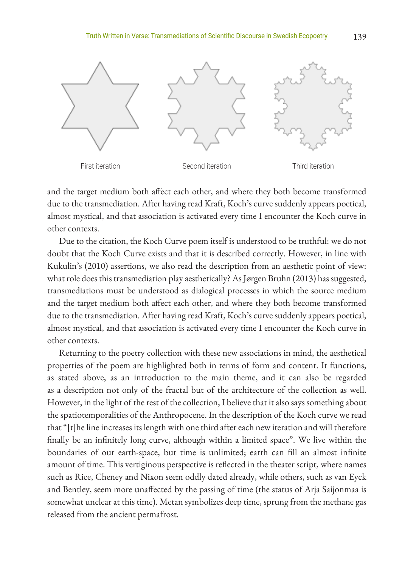

and the target medium both affect each other, and where they both become transformed due to the transmediation. After having read Kraft, Koch's curve suddenly appears poetical, almost mystical, and that association is activated every time I encounter the Koch curve in other contexts.

Due to the citation, the Koch Curve poem itself is understood to be truthful: we do not doubt that the Koch Curve exists and that it is described correctly. However, in line with Kukulin's (2010) assertions, we also read the description from an aesthetic point of view: what role does this transmediation play aesthetically? As Jørgen Bruhn (2013) has suggested, transmediations must be understood as dialogical processes in which the source medium and the target medium both affect each other, and where they both become transformed due to the transmediation. After having read Kraft, Koch's curve suddenly appears poetical, almost mystical, and that association is activated every time I encounter the Koch curve in other contexts.

Returning to the poetry collection with these new associations in mind, the aesthetical properties of the poem are highlighted both in terms of form and content. It functions, as stated above, as an introduction to the main theme, and it can also be regarded as a description not only of the fractal but of the architecture of the collection as well. However, in the light of the rest of the collection, I believe that it also says something about the spatiotemporalities of the Anthropocene. In the description of the Koch curve we read that "[t]he line increases its length with one third after each new iteration and will therefore finally be an infinitely long curve, although within a limited space". We live within the boundaries of our earth-space, but time is unlimited; earth can fill an almost infinite amount of time. This vertiginous perspective is reflected in the theater script, where names such as Rice, Cheney and Nixon seem oddly dated already, while others, such as van Eyck and Bentley, seem more unaffected by the passing of time (the status of Arja Saijonmaa is somewhat unclear at this time). Metan symbolizes deep time, sprung from the methane gas released from the ancient permafrost.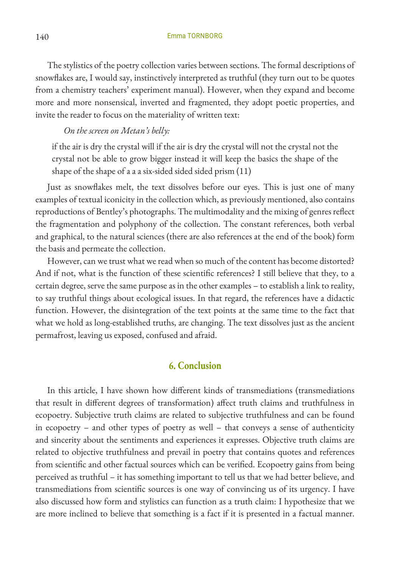The stylistics of the poetry collection varies between sections. The formal descriptions of snowflakes are, I would say, instinctively interpreted as truthful (they turn out to be quotes from a chemistry teachers' experiment manual). However, when they expand and become more and more nonsensical, inverted and fragmented, they adopt poetic properties, and invite the reader to focus on the materiality of written text:

*On the screen on Metan's belly:*

if the air is dry the crystal will if the air is dry the crystal will not the crystal not the crystal not be able to grow bigger instead it will keep the basics the shape of the shape of the shape of a a a six-sided sided sided prism (11)

Just as snowflakes melt, the text dissolves before our eyes. This is just one of many examples of textual iconicity in the collection which, as previously mentioned, also contains reproductions of Bentley's photographs. The multimodality and the mixing of genres reflect the fragmentation and polyphony of the collection. The constant references, both verbal and graphical, to the natural sciences (there are also references at the end of the book) form the basis and permeate the collection.

However, can we trust what we read when so much of the content has become distorted? And if not, what is the function of these scientific references? I still believe that they, to a certain degree, serve the same purpose as in the other examples – to establish a link to reality, to say truthful things about ecological issues. In that regard, the references have a didactic function. However, the disintegration of the text points at the same time to the fact that what we hold as long-established truths, are changing. The text dissolves just as the ancient permafrost, leaving us exposed, confused and afraid.

#### **6. Conclusion**

In this article, I have shown how different kinds of transmediations (transmediations that result in different degrees of transformation) affect truth claims and truthfulness in ecopoetry. Subjective truth claims are related to subjective truthfulness and can be found in ecopoetry – and other types of poetry as well – that conveys a sense of authenticity and sincerity about the sentiments and experiences it expresses. Objective truth claims are related to objective truthfulness and prevail in poetry that contains quotes and references from scientific and other factual sources which can be verified. Ecopoetry gains from being perceived as truthful – it has something important to tell us that we had better believe, and transmediations from scientific sources is one way of convincing us of its urgency. I have also discussed how form and stylistics can function as a truth claim: I hypothesize that we are more inclined to believe that something is a fact if it is presented in a factual manner.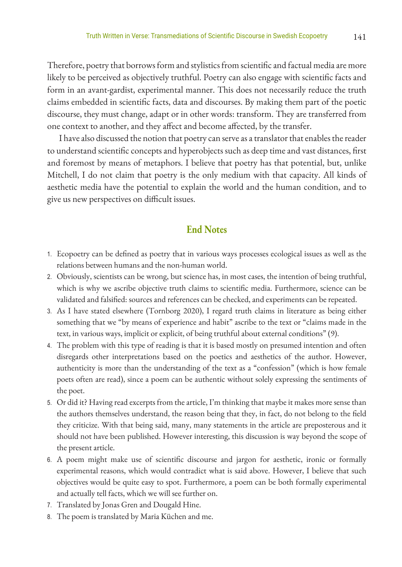Therefore, poetry that borrows form and stylistics from scientific and factual media are more likely to be perceived as objectively truthful. Poetry can also engage with scientific facts and form in an avant-gardist, experimental manner. This does not necessarily reduce the truth claims embedded in scientific facts, data and discourses. By making them part of the poetic discourse, they must change, adapt or in other words: transform. They are transferred from one context to another, and they affect and become affected, by the transfer.

I have also discussed the notion that poetry can serve as a translator that enables the reader to understand scientific concepts and hyperobjects such as deep time and vast distances, first and foremost by means of metaphors. I believe that poetry has that potential, but, unlike Mitchell, I do not claim that poetry is the only medium with that capacity. All kinds of aesthetic media have the potential to explain the world and the human condition, and to give us new perspectives on difficult issues.

## **End Notes**

- 1. Ecopoetry can be defined as poetry that in various ways processes ecological issues as well as the relations between humans and the non-human world.
- 2. Obviously, scientists can be wrong, but science has, in most cases, the intention of being truthful, which is why we ascribe objective truth claims to scientific media. Furthermore, science can be validated and falsified: sources and references can be checked, and experiments can be repeated.
- 3. As I have stated elsewhere (Tornborg 2020), I regard truth claims in literature as being either something that we "by means of experience and habit" ascribe to the text or "claims made in the text, in various ways, implicit or explicit, of being truthful about external conditions" (9).
- 4. The problem with this type of reading is that it is based mostly on presumed intention and often disregards other interpretations based on the poetics and aesthetics of the author. However, authenticity is more than the understanding of the text as a "confession" (which is how female poets often are read), since a poem can be authentic without solely expressing the sentiments of the poet.
- 5. Or did it? Having read excerpts from the article, I'm thinking that maybe it makes more sense than the authors themselves understand, the reason being that they, in fact, do not belong to the field they criticize. With that being said, many, many statements in the article are preposterous and it should not have been published. However interesting, this discussion is way beyond the scope of the present article.
- 6. A poem might make use of scientific discourse and jargon for aesthetic, ironic or formally experimental reasons, which would contradict what is said above. However, I believe that such objectives would be quite easy to spot. Furthermore, a poem can be both formally experimental and actually tell facts, which we will see further on.
- 7. Translated by Jonas Gren and Dougald Hine.
- 8. The poem is translated by Maria Küchen and me.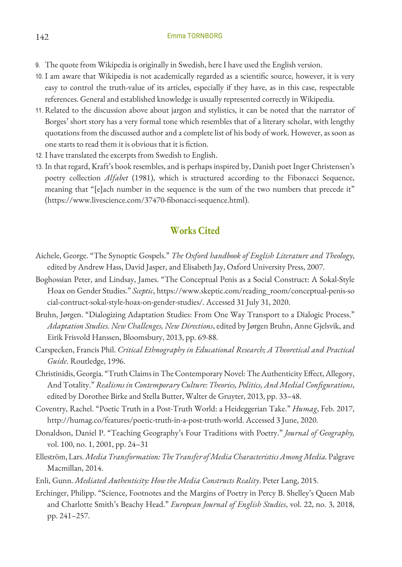- 9. The quote from Wikipedia is originally in Swedish, here I have used the English version.
- 10. I am aware that Wikipedia is not academically regarded as a scientific source, however, it is very easy to control the truth-value of its articles, especially if they have, as in this case, respectable references. General and established knowledge is usually represented correctly in Wikipedia.
- 11. Related to the discussion above about jargon and stylistics, it can be noted that the narrator of Borges' short story has a very formal tone which resembles that of a literary scholar, with lengthy quotations from the discussed author and a complete list of his body of work. However, as soon as one starts to read them it is obvious that it is fiction.
- 12. I have translated the excerpts from Swedish to English.
- 13. In that regard, Kraft's book resembles, and is perhaps inspired by, Danish poet Inger Christensen's poetry collection *Alfabet* (1981), which is structured according to the Fibonacci Sequence, meaning that "[e]ach number in the sequence is the sum of the two numbers that precede it" (https://www.livescience.com/37470-fibonacci-sequence.html).

## **Works Cited**

- Aichele, George. "The Synoptic Gospels." *The Oxford handbook of English Literature and Theology*, edited by Andrew Hass, David Jasper, and Elisabeth Jay, Oxford University Press, 2007.
- Boghossian Peter, and Lindsay, James. "The Conceptual Penis as a Social Construct: A Sokal-Style Hoax on Gender Studies." *Sceptic*, https://www.skeptic.com/reading\_room/conceptual-penis-so cial-contruct-sokal-style-hoax-on-gender-studies/. Accessed 31 July 31, 2020.
- Bruhn, Jørgen. "Dialogizing Adaptation Studies: From One Way Transport to a Dialogic Process." *Adaptation Studies. New Challenges, New Directions*, edited by Jørgen Bruhn, Anne Gjelsvik, and Eirik Frisvold Hanssen, Bloomsbury, 2013, pp. 69-88.
- Carspecken, Francis Phil. *Critical Ethnography in Educational Research; A Theoretical and Practical Guide*. Routledge, 1996.
- Christinidis, Georgia. "Truth Claims in The Contemporary Novel: The Authenticity Effect, Allegory, And Totality." *Realisms in Contemporary Culture: Theories, Politics, And Medial Configurations*, edited by Dorothee Birke and Stella Butter, Walter de Gruyter, 2013, pp. 33–48.
- Coventry, Rachel. "Poetic Truth in a Post-Truth World: a Heideggerian Take." *Humag*, Feb. 2017, http://humag.co/features/poetic-truth-in-a-post-truth-world. Accessed 3 June, 2020.
- Donaldson, Daniel P. "Teaching Geography's Four Traditions with Poetry." *Journal of Geography,* vol. 100, no. 1, 2001, pp. 24–31
- Elleström, Lars. *Media Transformation: The Transfer of Media Characteristics Among Media.* Palgrave Macmillan, 2014.
- Enli, Gunn. *Mediated Authenticity: How the Media Constructs Reality*. Peter Lang, 2015.
- Erchinger, Philipp. "Science, Footnotes and the Margins of Poetry in Percy B. Shelley's Queen Mab and Charlotte Smith's Beachy Head." *European Journal of English Studies*, vol. 22, no. 3, 2018, pp. 241–257.